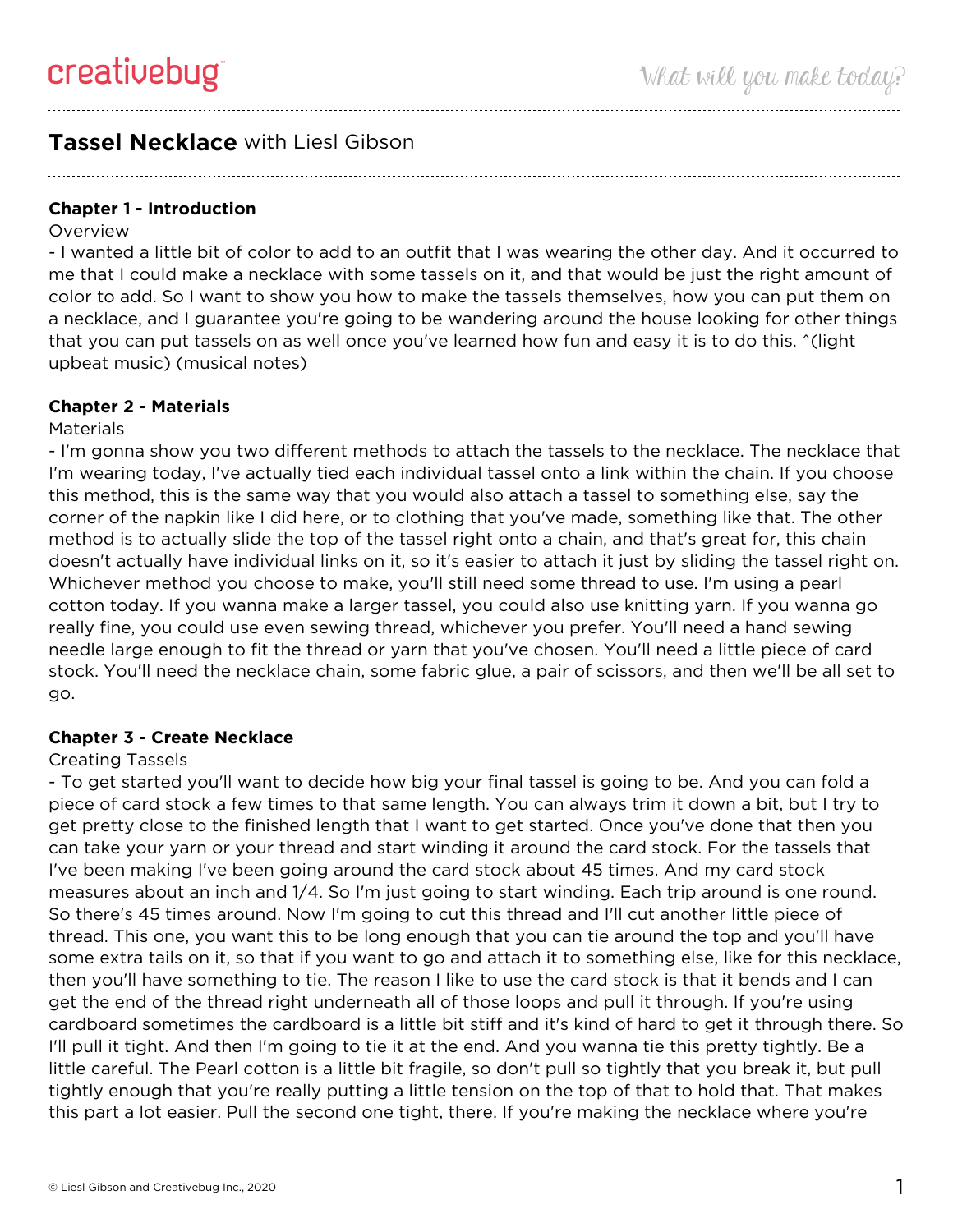# **Tassel Necklace** with Liesl Gibson

## **Chapter 1 - Introduction**

#### **Overview**

- I wanted a little bit of color to add to an outfit that I was wearing the other day. And it occurred to me that I could make a necklace with some tassels on it, and that would be just the right amount of color to add. So I want to show you how to make the tassels themselves, how you can put them on a necklace, and I guarantee you're going to be wandering around the house looking for other things that you can put tassels on as well once you've learned how fun and easy it is to do this. ^(light upbeat music) (musical notes)

## **Chapter 2 - Materials**

#### **Materials**

- I'm gonna show you two different methods to attach the tassels to the necklace. The necklace that I'm wearing today, I've actually tied each individual tassel onto a link within the chain. If you choose this method, this is the same way that you would also attach a tassel to something else, say the corner of the napkin like I did here, or to clothing that you've made, something like that. The other method is to actually slide the top of the tassel right onto a chain, and that's great for, this chain doesn't actually have individual links on it, so it's easier to attach it just by sliding the tassel right on. Whichever method you choose to make, you'll still need some thread to use. I'm using a pearl cotton today. If you wanna make a larger tassel, you could also use knitting yarn. If you wanna go really fine, you could use even sewing thread, whichever you prefer. You'll need a hand sewing needle large enough to fit the thread or yarn that you've chosen. You'll need a little piece of card stock. You'll need the necklace chain, some fabric glue, a pair of scissors, and then we'll be all set to go.

## **Chapter 3 - Create Necklace**

#### Creating Tassels

- To get started you'll want to decide how big your final tassel is going to be. And you can fold a piece of card stock a few times to that same length. You can always trim it down a bit, but I try to get pretty close to the finished length that I want to get started. Once you've done that then you can take your yarn or your thread and start winding it around the card stock. For the tassels that I've been making I've been going around the card stock about 45 times. And my card stock measures about an inch and 1/4. So I'm just going to start winding. Each trip around is one round. So there's 45 times around. Now I'm going to cut this thread and I'll cut another little piece of thread. This one, you want this to be long enough that you can tie around the top and you'll have some extra tails on it, so that if you want to go and attach it to something else, like for this necklace, then you'll have something to tie. The reason I like to use the card stock is that it bends and I can get the end of the thread right underneath all of those loops and pull it through. If you're using cardboard sometimes the cardboard is a little bit stiff and it's kind of hard to get it through there. So I'll pull it tight. And then I'm going to tie it at the end. And you wanna tie this pretty tightly. Be a little careful. The Pearl cotton is a little bit fragile, so don't pull so tightly that you break it, but pull tightly enough that you're really putting a little tension on the top of that to hold that. That makes this part a lot easier. Pull the second one tight, there. If you're making the necklace where you're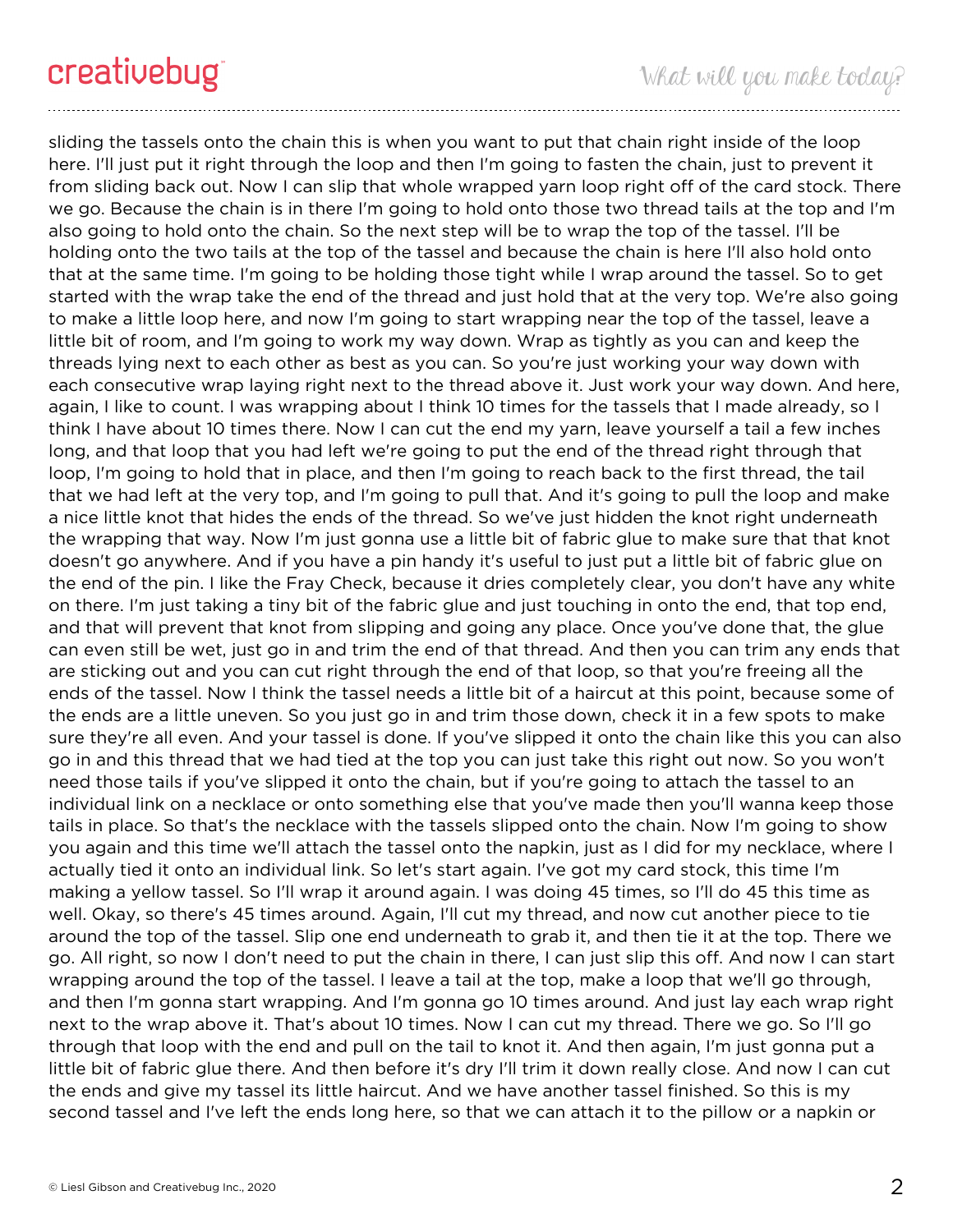sliding the tassels onto the chain this is when you want to put that chain right inside of the loop here. I'll just put it right through the loop and then I'm going to fasten the chain, just to prevent it from sliding back out. Now I can slip that whole wrapped yarn loop right off of the card stock. There we go. Because the chain is in there I'm going to hold onto those two thread tails at the top and I'm also going to hold onto the chain. So the next step will be to wrap the top of the tassel. I'll be holding onto the two tails at the top of the tassel and because the chain is here I'll also hold onto that at the same time. I'm going to be holding those tight while I wrap around the tassel. So to get started with the wrap take the end of the thread and just hold that at the very top. We're also going to make a little loop here, and now I'm going to start wrapping near the top of the tassel, leave a little bit of room, and I'm going to work my way down. Wrap as tightly as you can and keep the threads lying next to each other as best as you can. So you're just working your way down with each consecutive wrap laying right next to the thread above it. Just work your way down. And here, again, I like to count. I was wrapping about I think 10 times for the tassels that I made already, so I think I have about 10 times there. Now I can cut the end my yarn, leave yourself a tail a few inches long, and that loop that you had left we're going to put the end of the thread right through that loop, I'm going to hold that in place, and then I'm going to reach back to the first thread, the tail that we had left at the very top, and I'm going to pull that. And it's going to pull the loop and make a nice little knot that hides the ends of the thread. So we've just hidden the knot right underneath the wrapping that way. Now I'm just gonna use a little bit of fabric glue to make sure that that knot doesn't go anywhere. And if you have a pin handy it's useful to just put a little bit of fabric glue on the end of the pin. I like the Fray Check, because it dries completely clear, you don't have any white on there. I'm just taking a tiny bit of the fabric glue and just touching in onto the end, that top end, and that will prevent that knot from slipping and going any place. Once you've done that, the glue can even still be wet, just go in and trim the end of that thread. And then you can trim any ends that are sticking out and you can cut right through the end of that loop, so that you're freeing all the ends of the tassel. Now I think the tassel needs a little bit of a haircut at this point, because some of the ends are a little uneven. So you just go in and trim those down, check it in a few spots to make sure they're all even. And your tassel is done. If you've slipped it onto the chain like this you can also go in and this thread that we had tied at the top you can just take this right out now. So you won't need those tails if you've slipped it onto the chain, but if you're going to attach the tassel to an individual link on a necklace or onto something else that you've made then you'll wanna keep those tails in place. So that's the necklace with the tassels slipped onto the chain. Now I'm going to show you again and this time we'll attach the tassel onto the napkin, just as I did for my necklace, where I actually tied it onto an individual link. So let's start again. I've got my card stock, this time I'm making a yellow tassel. So I'll wrap it around again. I was doing 45 times, so I'll do 45 this time as well. Okay, so there's 45 times around. Again, I'll cut my thread, and now cut another piece to tie around the top of the tassel. Slip one end underneath to grab it, and then tie it at the top. There we go. All right, so now I don't need to put the chain in there, I can just slip this off. And now I can start wrapping around the top of the tassel. I leave a tail at the top, make a loop that we'll go through, and then I'm gonna start wrapping. And I'm gonna go 10 times around. And just lay each wrap right next to the wrap above it. That's about 10 times. Now I can cut my thread. There we go. So I'll go through that loop with the end and pull on the tail to knot it. And then again, I'm just gonna put a little bit of fabric glue there. And then before it's dry I'll trim it down really close. And now I can cut the ends and give my tassel its little haircut. And we have another tassel finished. So this is my second tassel and I've left the ends long here, so that we can attach it to the pillow or a napkin or